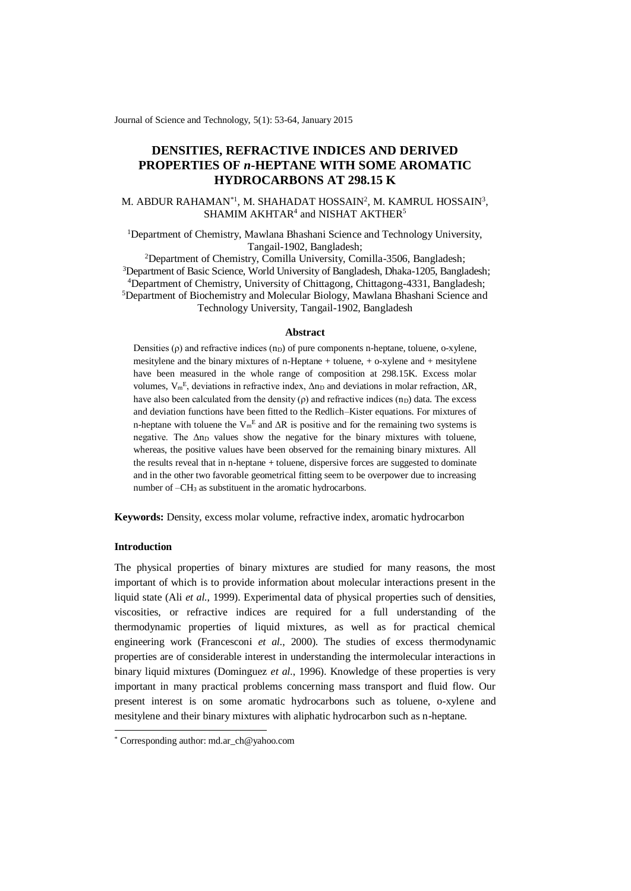Journal of Science and Technology, 5(1): 53-64, January 2015

# **DENSITIES, REFRACTIVE INDICES AND DERIVED PROPERTIES OF** *n***-HEPTANE WITH SOME AROMATIC HYDROCARBONS AT 298.15 K**

# M. ABDUR RAHAMAN<sup>\*1</sup>, M. SHAHADAT HOSSAIN<sup>2</sup>, M. KAMRUL HOSSAIN<sup>3</sup>,  $SHAMIM$   $AKHTAR<sup>4</sup>$  and  $NISHAT$   $AKTHER<sup>5</sup>$

<sup>1</sup>Department of Chemistry, Mawlana Bhashani Science and Technology University, Tangail-1902, Bangladesh;

Department of Chemistry, Comilla University, Comilla-3506, Bangladesh; Department of Basic Science, World University of Bangladesh, Dhaka-1205, Bangladesh; Department of Chemistry, University of Chittagong, Chittagong-4331, Bangladesh; Department of Biochemistry and Molecular Biology, Mawlana Bhashani Science and Technology University, Tangail-1902, Bangladesh

#### **Abstract**

Densities  $(\rho)$  and refractive indices  $(n_D)$  of pure components n-heptane, toluene, o-xylene, mesitylene and the binary mixtures of n-Heptane + toluene, + o-xylene and + mesitylene have been measured in the whole range of composition at 298.15K. Excess molar volumes,  $V_m$ <sup>E</sup>, deviations in refractive index,  $Δn<sub>D</sub>$  and deviations in molar refraction,  $ΔR$ , have also been calculated from the density  $(\rho)$  and refractive indices  $(n_D)$  data. The excess and deviation functions have been fitted to the Redlich–Kister equations. For mixtures of n-heptane with toluene the  $V_m^E$  and  $\Delta R$  is positive and for the remaining two systems is negative. The  $\Delta$ n<sub>D</sub> values show the negative for the binary mixtures with toluene, whereas, the positive values have been observed for the remaining binary mixtures. All the results reveal that in n-heptane + toluene, dispersive forces are suggested to dominate and in the other two favorable geometrical fitting seem to be overpower due to increasing number of –CH<sup>3</sup> as substituent in the aromatic hydrocarbons.

**Keywords:** Density, excess molar volume, refractive index, aromatic hydrocarbon

## **Introduction**

-

The physical properties of binary mixtures are studied for many reasons, the most important of which is to provide information about molecular interactions present in the liquid state (Ali *et al.*, 1999). Experimental data of physical properties such of densities, viscosities, or refractive indices are required for a full understanding of the thermodynamic properties of liquid mixtures, as well as for practical chemical engineering work (Francesconi *et al.*, 2000). The studies of excess thermodynamic properties are of considerable interest in understanding the intermolecular interactions in binary liquid mixtures (Dominguez et al., 1996). Knowledge of these properties is very important in many practical problems concerning mass transport and fluid flow. Our present interest is on some aromatic hydrocarbons such as toluene, o-xylene and mesitylene and their binary mixtures with aliphatic hydrocarbon such as n-heptane.

<sup>\*</sup> Corresponding author: md.ar\_ch@yahoo.com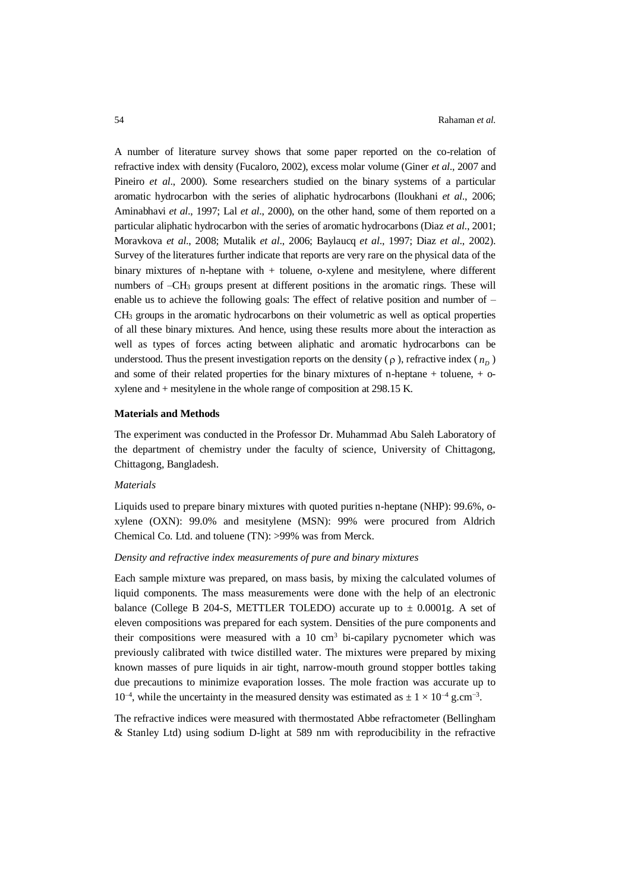A number of literature survey shows that some paper reported on the co-relation of refractive index with density (Fucaloro, 2002), excess molar volume (Giner *et al*., 2007 and Pineiro *et al*., 2000). Some researchers studied on the binary systems of a particular aromatic hydrocarbon with the series of aliphatic hydrocarbons (Iloukhani *et al*., 2006; Aminabhavi *et al*., 1997; Lal *et al*., 2000), on the other hand, some of them reported on a particular aliphatic hydrocarbon with the series of aromatic hydrocarbons (Diaz *et al*., 2001; Moravkova *et al*., 2008; Mutalik *et al*., 2006; Baylaucq *et al*., 1997; Diaz *et al*., 2002). Survey of the literatures further indicate that reports are very rare on the physical data of the binary mixtures of n-heptane with + toluene, o-xylene and mesitylene, where different numbers of  $-CH_3$  groups present at different positions in the aromatic rings. These will enable us to achieve the following goals: The effect of relative position and number of –  $CH<sub>3</sub>$  groups in the aromatic hydrocarbons on their volumetric as well as optical properties of all these binary mixtures. And hence, using these results more about the interaction as well as types of forces acting between aliphatic and aromatic hydrocarbons can be understood. Thus the present investigation reports on the density  $(\rho)$ , refractive index  $(n<sub>p</sub>)$ and some of their related properties for the binary mixtures of n-heptane + toluene, + oxylene and + mesitylene in the whole range of composition at 298.15 K.

# **Materials and Methods**

The experiment was conducted in the Professor Dr. Muhammad Abu Saleh Laboratory of the department of chemistry under the faculty of science, University of Chittagong, Chittagong, Bangladesh.

### *Materials*

Liquids used to prepare binary mixtures with quoted purities n-heptane (NHP): 99.6%, oxylene (OXN): 99.0% and mesitylene (MSN): 99% were procured from Aldrich Chemical Co. Ltd. and toluene (TN): >99% was from Merck.

#### *Density and refractive index measurements of pure and binary mixtures*

Each sample mixture was prepared, on mass basis, by mixing the calculated volumes of liquid components. The mass measurements were done with the help of an electronic balance (College B 204-S, METTLER TOLEDO) accurate up to  $\pm$  0.0001g. A set of eleven compositions was prepared for each system. Densities of the pure components and their compositions were measured with a 10  $\text{cm}^3$  bi-capilary pycnometer which was previously calibrated with twice distilled water. The mixtures were prepared by mixing known masses of pure liquids in air tight, narrow-mouth ground stopper bottles taking due precautions to minimize evaporation losses. The mole fraction was accurate up to 10<sup>-4</sup>, while the uncertainty in the measured density was estimated as  $\pm$  1 × 10<sup>-4</sup> g.cm<sup>-3</sup>.

The refractive indices were measured with thermostated Abbe refractometer (Bellingham & Stanley Ltd) using sodium D-light at 589 nm with reproducibility in the refractive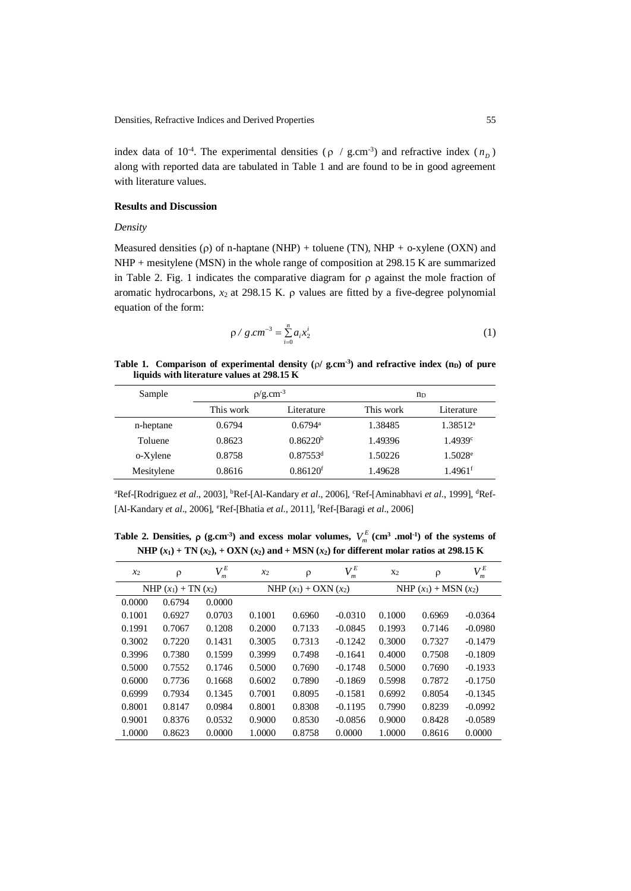index data of 10<sup>-4</sup>. The experimental densities ( $\rho$  / g.cm<sup>-3</sup>) and refractive index ( $n<sub>p</sub>$ ) along with reported data are tabulated in Table 1 and are found to be in good agreement with literature values.

### **Results and Discussion**

#### *Density*

Measured densities ( $\rho$ ) of n-haptane (NHP) + toluene (TN), NHP + o-xylene (OXN) and NHP + mesitylene (MSN) in the whole range of composition at 298.15 K are summarized in Table 2. Fig. 1 indicates the comparative diagram for  $\rho$  against the mole fraction of aromatic hydrocarbons,  $x_2$  at 298.15 K.  $\rho$  values are fitted by a five-degree polynomial equation of the form:

$$
\rho / g.cm^{-3} = \sum_{i=0}^{n} a_i x_2^i \tag{1}
$$

## **Table 1.** Comparison of experimental density ( $\rho$ / g.cm<sup>-3</sup>) and refractive index ( $n<sub>D</sub>$ ) of pure **liquids with literature values at 298.15 K**

| Sample     |                         | $p/g.cm^{-3}$          | $n_{\rm D}$ |                       |  |  |
|------------|-------------------------|------------------------|-------------|-----------------------|--|--|
|            | This work<br>Literature |                        | This work   | Literature            |  |  |
| n-heptane  | 0.6794                  | $0.6794$ <sup>a</sup>  | 1.38485     | 1.38512 <sup>a</sup>  |  |  |
| Toluene    | 0.8623                  | 0.86220 <sup>b</sup>   | 1.49396     | 1.4939c               |  |  |
| o-Xylene   | 0.8758                  | $0.87553$ <sup>d</sup> | 1.50226     | $1.5028$ <sup>e</sup> |  |  |
| Mesitylene | 0.8616                  | 0.86120 <sup>f</sup>   | 1.49628     | $1.4961$ <sup>f</sup> |  |  |

<sup>a</sup>Ref-[Rodriguez et al., 2003], <sup>b</sup>Ref-[Al-Kandary et al., 2006], <sup>c</sup>Ref-[Aminabhavi et al., 1999], <sup>d</sup>Ref-[Al-Kandary *et al*., 2006], <sup>e</sup>Ref-[Bhatia *et al*., 2011], <sup>f</sup>Ref-[Baragi *et al*., 2006]

**Table 2. Densities,**  $\rho$  **(g.cm<sup>-3</sup>) and excess molar volumes,**  $V_m^E$  **(cm<sup>3</sup> .mol<sup>-1</sup>) of the systems of NHP**  $(x_1)$  + **TN**  $(x_2)$ , + **OXN**  $(x_2)$  and + MSN  $(x_2)$  for different molar ratios at 298.15 K

| $x_2$                    | $\rho$ | $V_m^E$ | $x_2$                  | $\rho$ | $V_m^E$   | X <sub>2</sub>            | $\rho$ | $V_m^E$   |  |
|--------------------------|--------|---------|------------------------|--------|-----------|---------------------------|--------|-----------|--|
| NHP $(x_1)$ + TN $(x_2)$ |        |         | NHP $(x_1) + OXN(x_2)$ |        |           | NHP $(x_1)$ + MSN $(x_2)$ |        |           |  |
| 0.0000                   | 0.6794 | 0.0000  |                        |        |           |                           |        |           |  |
| 0.1001                   | 0.6927 | 0.0703  | 0.1001                 | 0.6960 | $-0.0310$ | 0.1000                    | 0.6969 | $-0.0364$ |  |
| 0.1991                   | 0.7067 | 0.1208  | 0.2000                 | 0.7133 | $-0.0845$ | 0.1993                    | 0.7146 | $-0.0980$ |  |
| 0.3002                   | 0.7220 | 0.1431  | 0.3005                 | 0.7313 | $-0.1242$ | 0.3000                    | 0.7327 | $-0.1479$ |  |
| 0.3996                   | 0.7380 | 0.1599  | 0.3999                 | 0.7498 | $-0.1641$ | 0.4000                    | 0.7508 | $-0.1809$ |  |
| 0.5000                   | 0.7552 | 0.1746  | 0.5000                 | 0.7690 | $-0.1748$ | 0.5000                    | 0.7690 | $-0.1933$ |  |
| 0.6000                   | 0.7736 | 0.1668  | 0.6002                 | 0.7890 | $-0.1869$ | 0.5998                    | 0.7872 | $-0.1750$ |  |
| 0.6999                   | 0.7934 | 0.1345  | 0.7001                 | 0.8095 | $-0.1581$ | 0.6992                    | 0.8054 | $-0.1345$ |  |
| 0.8001                   | 0.8147 | 0.0984  | 0.8001                 | 0.8308 | $-0.1195$ | 0.7990                    | 0.8239 | $-0.0992$ |  |
| 0.9001                   | 0.8376 | 0.0532  | 0.9000                 | 0.8530 | $-0.0856$ | 0.9000                    | 0.8428 | $-0.0589$ |  |
| 1.0000                   | 0.8623 | 0.0000  | 1.0000                 | 0.8758 | 0.0000    | 1.0000                    | 0.8616 | 0.0000    |  |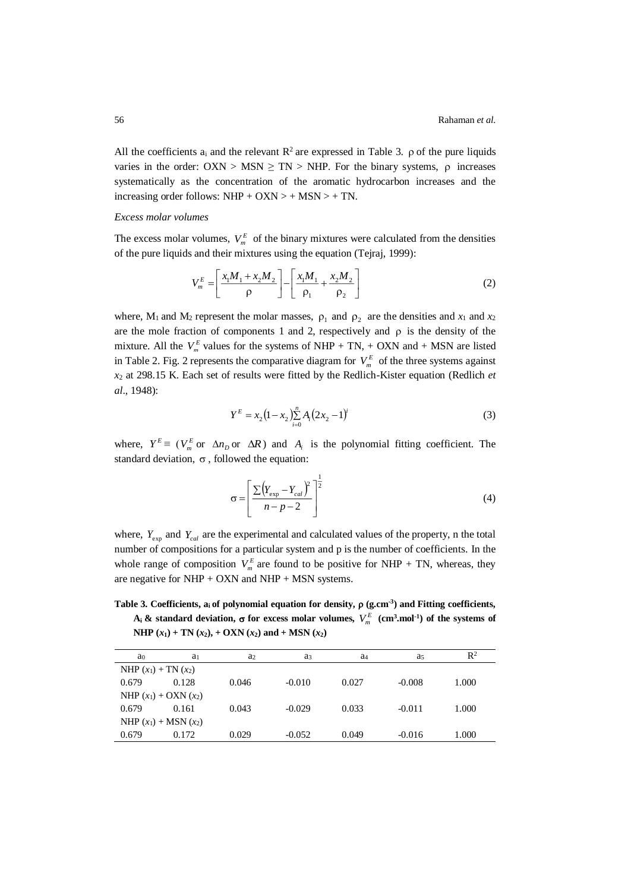All the coefficients  $a_i$  and the relevant  $\mathbb{R}^2$  are expressed in Table 3.  $\rho$  of the pure liquids varies in the order:  $OXN > MSN \geq TN > NHP$ . For the binary systems,  $\rho$  increases systematically as the concentration of the aromatic hydrocarbon increases and the increasing order follows:  $NHP + OXN > + MSN > + TN$ .

### *Excess molar volumes*

The excess molar volumes,  $V_m^E$  of the binary mixtures were calculated from the densities of the pure liquids and their mixtures using the equation (Tejraj, 1999):

$$
V_m^E = \left[ \frac{x_1 M_1 + x_2 M_2}{\rho} \right] - \left[ \frac{x_1 M_1}{\rho_1} + \frac{x_2 M_2}{\rho_2} \right]
$$
 (2)

where,  $M_1$  and  $M_2$  represent the molar masses,  $\rho_1$  and  $\rho_2$  are the densities and  $x_1$  and  $x_2$ are the mole fraction of components 1 and 2, respectively and  $\rho$  is the density of the mixture. All the  $V_m^E$  values for the systems of NHP + TN, + OXN and + MSN are listed in Table 2. Fig. 2 represents the comparative diagram for  $V_m^E$  of the three systems against *x*<sup>2</sup> at 298.15 K. Each set of results were fitted by the Redlich-Kister equation (Redlich *et al*., 1948):

$$
Y^{E} = x_{2} \left(1 - x_{2}\right) \sum_{i=0}^{n} A_{i} \left(2x_{2} - 1\right)^{i} \tag{3}
$$

where,  $Y^E \equiv (V_m^E \text{ or } \Delta n_D \text{ or } \Delta R)$  and  $A_i$  is the polynomial fitting coefficient. The standard deviation,  $\sigma$ , followed the equation:

$$
\sigma = \left[ \frac{\sum (Y_{\text{exp}} - Y_{\text{cal}})^2}{n - p - 2} \right]^{\frac{1}{2}}
$$
(4)

where,  $Y_{\text{exp}}$  and  $Y_{\text{cal}}$  are the experimental and calculated values of the property, n the total number of compositions for a particular system and p is the number of coefficients. In the whole range of composition  $V_m^E$  are found to be positive for NHP + TN, whereas, they are negative for NHP + OXN and NHP + MSN systems.

Table 3. Coefficients,  $a_i$  of polynomial equation for density,  $\rho$  (g.cm<sup>-3</sup>) and Fitting coefficients,  $A_i$  & standard deviation,  $\sigma$  for excess molar volumes,  $V_m^E$  (cm<sup>3</sup>,mol<sup>-1</sup>) of the systems of **NHP**  $(x_1)$  + **TN**  $(x_2)$ , + **OXN**  $(x_2)$  and + **MSN**  $(x_2)$ 

| a <sub>0</sub>            | a <sub>1</sub> | a <sub>2</sub> | a <sub>3</sub> | a <sub>4</sub> | a <sub>5</sub> | $\mathbb{R}^2$ |  |  |  |
|---------------------------|----------------|----------------|----------------|----------------|----------------|----------------|--|--|--|
| NHP $(x_1)$ + TN $(x_2)$  |                |                |                |                |                |                |  |  |  |
| 0.679                     | 0.128          | 0.046          | $-0.010$       | 0.027          | $-0.008$       | 1.000          |  |  |  |
| NHP $(x_1) + OXN(x_2)$    |                |                |                |                |                |                |  |  |  |
| 0.679                     | 0.161          | 0.043          | $-0.029$       | 0.033          | $-0.011$       | 1.000          |  |  |  |
| NHP $(x_1)$ + MSN $(x_2)$ |                |                |                |                |                |                |  |  |  |
| 0.679                     | 0.172          | 0.029          | $-0.052$       | 0.049          | $-0.016$       | 1.000          |  |  |  |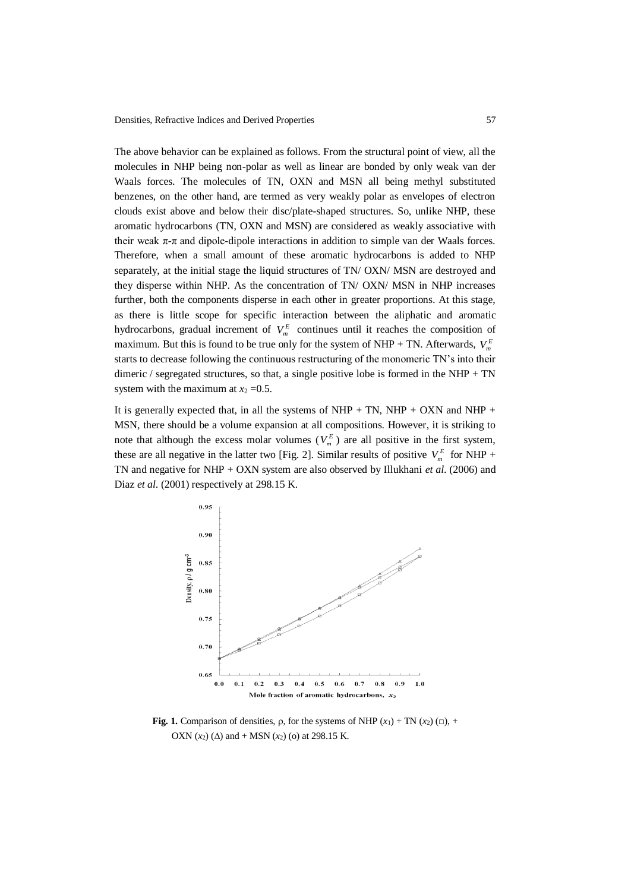The above behavior can be explained as follows. From the structural point of view, all the molecules in NHP being non-polar as well as linear are bonded by only weak van der Waals forces. The molecules of TN, OXN and MSN all being methyl substituted benzenes, on the other hand, are termed as very weakly polar as envelopes of electron clouds exist above and below their disc/plate-shaped structures. So, unlike NHP, these aromatic hydrocarbons (TN, OXN and MSN) are considered as weakly associative with their weak  $\pi$ -π and dipole-dipole interactions in addition to simple van der Waals forces. Therefore, when a small amount of these aromatic hydrocarbons is added to NHP separately, at the initial stage the liquid structures of TN/ OXN/ MSN are destroyed and they disperse within NHP. As the concentration of TN/ OXN/ MSN in NHP increases further, both the components disperse in each other in greater proportions. At this stage, as there is little scope for specific interaction between the aliphatic and aromatic hydrocarbons, gradual increment of  $V_m^E$  continues until it reaches the composition of maximum. But this is found to be true only for the system of NHP + TN. Afterwards,  $V_m^E$ starts to decrease following the continuous restructuring of the monomeric TN's into their dimeric / segregated structures, so that, a single positive lobe is formed in the NHP + TN system with the maximum at  $x_2 = 0.5$ .

It is generally expected that, in all the systems of NHP + TN, NHP + OXN and NHP + MSN, there should be a volume expansion at all compositions. However, it is striking to note that although the excess molar volumes  $(V_m^E)$  are all positive in the first system, these are all negative in the latter two [Fig. 2]. Similar results of positive  $V_m^E$  for NHP + TN and negative for NHP + OXN system are also observed by Illukhani *et al*. (2006) and Diaz *et al*. (2001) respectively at 298.15 K.



**Fig. 1.** Comparison of densities,  $\rho$ , for the systems of NHP  $(x_1) + TN(x_2)$  ( $\Box$ ), + OXN  $(x_2)$  ( $\Delta$ ) and + MSN  $(x_2)$  (o) at 298.15 K.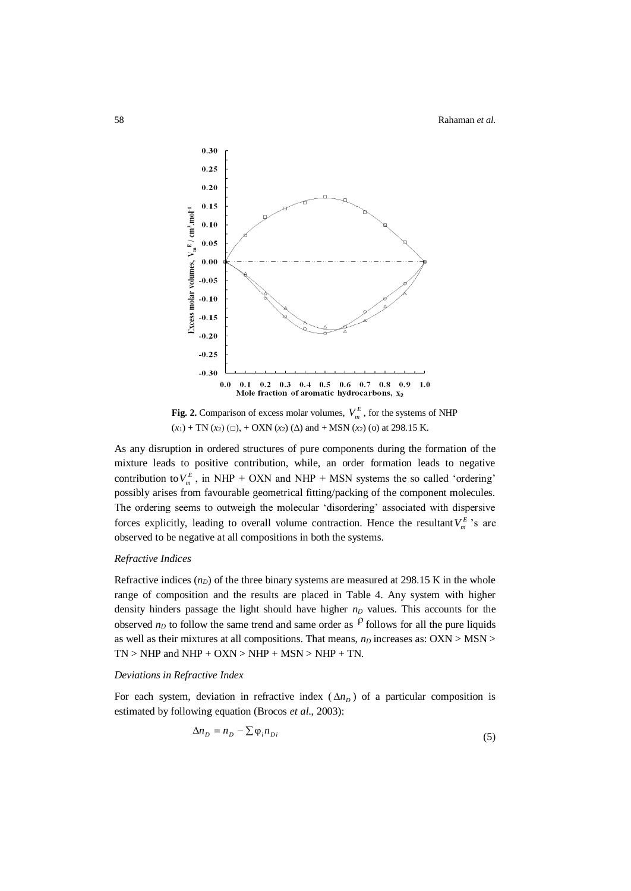

**Fig. 2.** Comparison of excess molar volumes,  $V_m^E$ , for the systems of NHP  $(x_1)$  + TN  $(x_2)$  ( $\Box$ ), + OXN  $(x_2)$  ( $\Delta$ ) and + MSN  $(x_2)$  (o) at 298.15 K.

As any disruption in ordered structures of pure components during the formation of the mixture leads to positive contribution, while, an order formation leads to negative contribution to  $V_m^E$ , in NHP + OXN and NHP + MSN systems the so called 'ordering' possibly arises from favourable geometrical fitting/packing of the component molecules. The ordering seems to outweigh the molecular 'disordering' associated with dispersive forces explicitly, leading to overall volume contraction. Hence the resultant  $V_m^E$ 's are observed to be negative at all compositions in both the systems.

# *Refractive Indices*

Refractive indices  $(n_D)$  of the three binary systems are measured at 298.15 K in the whole range of composition and the results are placed in Table 4. Any system with higher density hinders passage the light should have higher *n<sup>D</sup>* values. This accounts for the observed  $n<sub>D</sub>$  to follow the same trend and same order as  $\beta$  follows for all the pure liquids as well as their mixtures at all compositions. That means, *n<sup>D</sup>* increases as: OXN > MSN >  $TN$  > NHP and NHP + OXN > NHP + MSN > NHP + TN.

#### *Deviations in Refractive Index*

For each system, deviation in refractive index  $(\Delta n_D)$  of a particular composition is estimated by following equation (Brocos *et al*., 2003):

$$
\Delta n_D = n_D - \sum \varphi_i n_{Di} \tag{5}
$$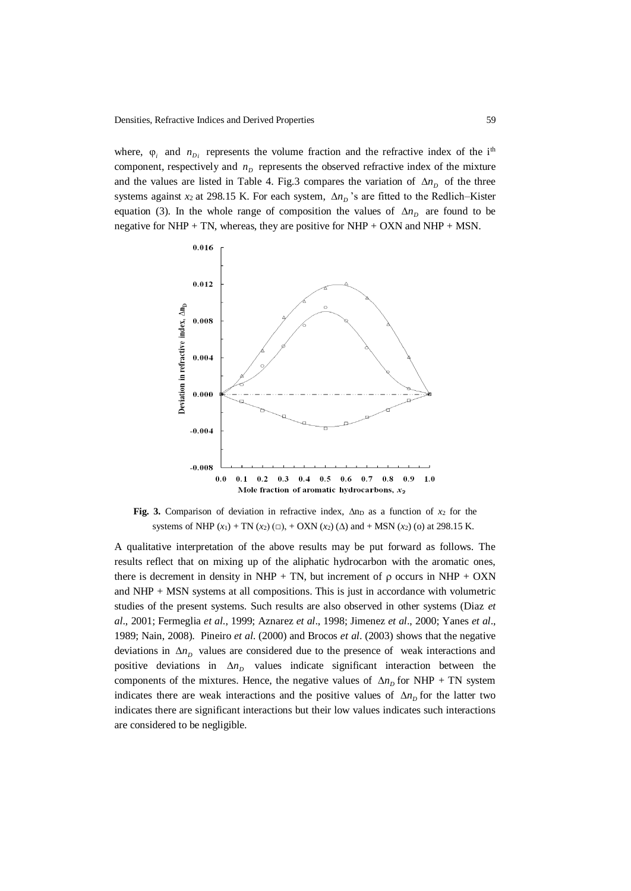where,  $\varphi_i$  and  $n_{D_i}$  represents the volume fraction and the refractive index of the i<sup>th</sup> component, respectively and  $n<sub>D</sub>$  represents the observed refractive index of the mixture and the values are listed in Table 4. Fig.3 compares the variation of  $\Delta n_D$  of the three systems against  $x_2$  at 298.15 K. For each system,  $\Delta n_p$ 's are fitted to the Redlich–Kister equation (3). In the whole range of composition the values of  $\Delta n_D$  are found to be negative for NHP + TN, whereas, they are positive for NHP + OXN and NHP + MSN.



Fig. 3. Comparison of deviation in refractive index,  $\Delta$ n<sub>D</sub> as a function of  $x_2$  for the systems of NHP  $(x_1)$  + TN  $(x_2)$  ( $\Box$ ), + OXN  $(x_2)$  ( $\Delta$ ) and + MSN  $(x_2)$  (o) at 298.15 K.

A qualitative interpretation of the above results may be put forward as follows. The results reflect that on mixing up of the aliphatic hydrocarbon with the aromatic ones, there is decrement in density in NHP + TN, but increment of  $\rho$  occurs in NHP + OXN and NHP + MSN systems at all compositions. This is just in accordance with volumetric studies of the present systems. Such results are also observed in other systems (Diaz *et al*., 2001; Fermeglia *et al*., 1999; [Aznarez](http://link.springer.com/search?facet-author=%22S.+Aznarez%22) *et al*., 1998; Jimenez *et al*., 2000; Yanes *et al*., 1989; Nain, 2008). Pineiro *et al*. (2000) and Brocos *et al*. (2003) shows that the negative deviations in  $\Delta n<sub>D</sub>$  values are considered due to the presence of weak interactions and positive deviations in  $\Delta n$  values indicate significant interaction between the components of the mixtures. Hence, the negative values of  $\Delta n<sub>D</sub>$  for NHP + TN system indicates there are weak interactions and the positive values of  $\Delta n_D$  for the latter two indicates there are significant interactions but their low values indicates such interactions are considered to be negligible.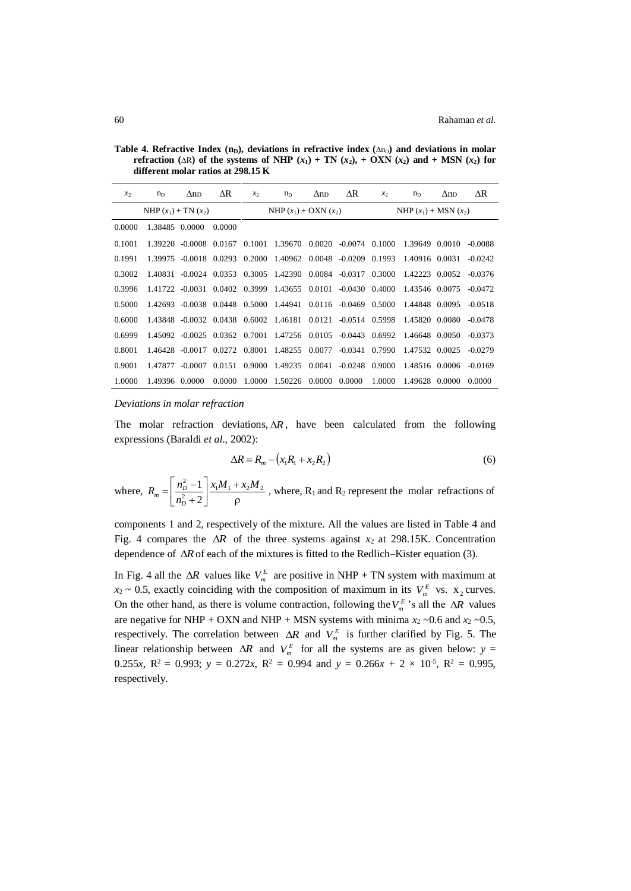**Table 4. Refractive Index (n<sub>D</sub>), deviations in refractive index (** $\Delta n_D$ **) and deviations in molar refraction** ( $\Delta R$ ) of the systems of NHP  $(x_1)$  + TN  $(x_2)$ , + OXN  $(x_2)$  and + MSN  $(x_2)$  for **different molar ratios at 298.15 K** 

| $x_2$                    | $n_{D}$        | $\Delta$ n <sub>D</sub> | ΔR                        | $x_2$  | $n_{D}$                                                     | $\Delta$ nd | ΔR                        | $x_2$  | $n_{D}$        | $\Delta$ nd | ΔR        |
|--------------------------|----------------|-------------------------|---------------------------|--------|-------------------------------------------------------------|-------------|---------------------------|--------|----------------|-------------|-----------|
| NHP $(x_1)$ + TN $(x_2)$ |                |                         | NHP $(x_1)$ + OXN $(x_2)$ |        |                                                             |             | NHP $(x_1)$ + MSN $(x_2)$ |        |                |             |           |
| 0.0000                   | 1.38485 0.0000 |                         | 0.0000                    |        |                                                             |             |                           |        |                |             |           |
| 0.1001                   |                |                         |                           |        | 1.39220 -0.0008 0.0167 0.1001 1.39670 0.0020 -0.0074 0.1000 |             |                           |        | 1.39649 0.0010 |             | $-0.0088$ |
| 0.1991                   |                |                         |                           |        | 1.39975 -0.0018 0.0293 0.2000 1.40962 0.0048 -0.0209 0.1993 |             |                           |        | 1.40916 0.0031 |             | $-0.0242$ |
| 0.3002                   | 1.40831        |                         |                           |        | $-0.0024$ 0.0353 0.3005 1.42390 0.0084 $-0.0317$ 0.3000     |             |                           |        | 1.42223 0.0052 |             | $-0.0376$ |
| 0.3996                   |                |                         |                           |        | 1.41722 -0.0031 0.0402 0.3999 1.43655 0.0101                |             | $-0.0430$ $0.4000$        |        | 1.43546 0.0075 |             | $-0.0472$ |
| 0.5000                   |                |                         |                           |        | 1.42693 -0.0038 0.0448 0.5000 1.44941 0.0116 -0.0469 0.5000 |             |                           |        | 1.44848 0.0095 |             | $-0.0518$ |
| 0.6000                   |                |                         |                           |        | 1.43848 -0.0032 0.0438 0.6002 1.46181 0.0121                |             | $-0.0514$ 0.5998          |        | 1.45820 0.0080 |             | $-0.0478$ |
| 0.6999                   |                |                         |                           |        | 1.45092 -0.0025 0.0362 0.7001 1.47256 0.0105 -0.0443 0.6992 |             |                           |        | 1.46648 0.0050 |             | $-0.0373$ |
| 0.8001                   |                |                         |                           |        | 1.46428 -0.0017 0.0272 0.8001 1.48255 0.0077                |             | $-0.0341$ 0.7990          |        | 1.47532 0.0025 |             | $-0.0279$ |
| 0.9001                   |                | 1.47877 -0.0007         |                           |        | 0.0151 0.9000 1.49235 0.0041 -0.0248 0.9000                 |             |                           |        | 1.48516 0.0006 |             | $-0.0169$ |
| 1.0000                   | 1.49396 0.0000 |                         | 0.0000                    | 1.0000 | 1.50226                                                     | 0.0000      | 0.0000                    | 1.0000 | 1.49628 0.0000 |             | 0.0000    |

#### *Deviations in molar refraction*

The molar refraction deviations,  $\Delta R$ , have been calculated from the following expressions (Baraldi *et al*., 2002):

$$
\Delta R = R_m - \left(x_1 R_1 + x_2 R_2\right) \tag{6}
$$

where, ρ  $^+$ I  $\rfloor$ 1 L L Γ  $^+$  $=\left(\frac{n_D-1}{2}, \frac{\lambda_1 m_1 + \lambda_2 m_2}{2}\right)$ 2 2  $1 \mid x M + x M$ *n*  $R = \frac{n}{2}$ *D*  $P_m = \frac{P_D}{r^2} = \frac{P_1 P_1}{r^2}$ , where, R<sub>1</sub> and R<sub>2</sub> represent the molar refractions of

components 1 and 2, respectively of the mixture. All the values are listed in Table 4 and Fig. 4 compares the  $\Delta R$  of the three systems against  $x_2$  at 298.15K. Concentration dependence of  $\Delta R$  of each of the mixtures is fitted to the Redlich–Kister equation (3).

In Fig. 4 all the  $\Delta R$  values like  $V_m^E$  are positive in NHP + TN system with maximum at  $x_2 \sim 0.5$ , exactly coinciding with the composition of maximum in its  $V_m^E$  vs.  $x_2$  curves. On the other hand, as there is volume contraction, following the  $V_m^E$ 's all the  $\Delta R$  values are negative for NHP + OXN and NHP + MSN systems with minima  $x_2 \sim 0.6$  and  $x_2 \sim 0.5$ , respectively. The correlation between  $\Delta R$  and  $V_m^E$  is further clarified by Fig. 5. The linear relationship between  $\Delta R$  and  $V_m^E$  for all the systems are as given below:  $y =$ 0.255*x*,  $R^2 = 0.993$ ;  $y = 0.272x$ ,  $R^2 = 0.994$  and  $y = 0.266x + 2 \times 10^{-5}$ ,  $R^2 = 0.995$ , respectively.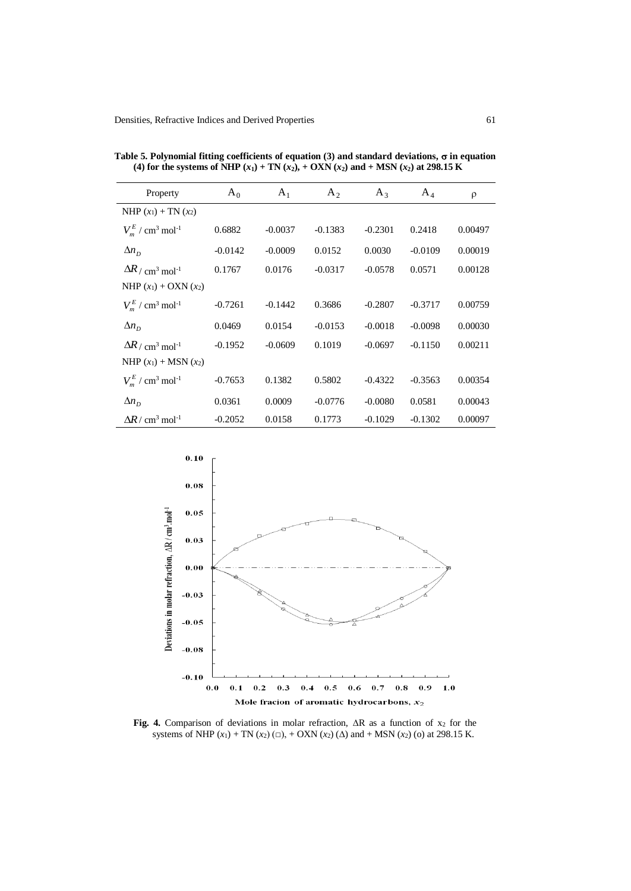| Property                                            | $A_0$     | $A_1$     | $A_2$     | $A_3$     | $A_4$     | $\rho$  |
|-----------------------------------------------------|-----------|-----------|-----------|-----------|-----------|---------|
| NHP $(x_1)$ + TN $(x_2)$                            |           |           |           |           |           |         |
| $V_{\rm m}^{E}$ / cm <sup>3</sup> mol <sup>-1</sup> | 0.6882    | $-0.0037$ | $-0.1383$ | $-0.2301$ | 0.2418    | 0.00497 |
| $\Delta n_D$                                        | $-0.0142$ | $-0.0009$ | 0.0152    | 0.0030    | $-0.0109$ | 0.00019 |
| $\Delta R / \text{cm}^3 \text{ mol}^{-1}$           | 0.1767    | 0.0176    | $-0.0317$ | $-0.0578$ | 0.0571    | 0.00128 |
| NHP $(x_1) + OXN(x_2)$                              |           |           |           |           |           |         |
| $V_{\rm m}^{E}$ / cm <sup>3</sup> mol <sup>-1</sup> | $-0.7261$ | $-0.1442$ | 0.3686    | $-0.2807$ | $-0.3717$ | 0.00759 |
| $\Delta n_{\rm p}$                                  | 0.0469    | 0.0154    | $-0.0153$ | $-0.0018$ | $-0.0098$ | 0.00030 |
| $\Delta R / \text{cm}^3 \text{ mol}^{-1}$           | $-0.1952$ | $-0.0609$ | 0.1019    | $-0.0697$ | $-0.1150$ | 0.00211 |
| NHP $(x_1)$ + MSN $(x_2)$                           |           |           |           |           |           |         |
| $V_{m}^{E}$ / cm <sup>3</sup> mol <sup>-1</sup>     | $-0.7653$ | 0.1382    | 0.5802    | $-0.4322$ | $-0.3563$ | 0.00354 |
| $\Delta n_D$                                        | 0.0361    | 0.0009    | $-0.0776$ | $-0.0080$ | 0.0581    | 0.00043 |
| $\Delta R / \text{ cm}^3 \text{ mol}^{-1}$          | $-0.2052$ | 0.0158    | 0.1773    | $-0.1029$ | $-0.1302$ | 0.00097 |

Table 5. Polynomial fitting coefficients of equation (3) and standard deviations,  $\sigma$  in equation (4) for the systems of NHP  $(x_1)$  + TN  $(x_2)$ , + OXN  $(x_2)$  and + MSN  $(x_2)$  at 298.15 K



Fig. 4. Comparison of deviations in molar refraction,  $\Delta R$  as a function of  $x_2$  for the systems of NHP  $(x_1)$  + TN  $(x_2)$  ( $\Box$ ), + OXN  $(x_2)$  ( $\Delta$ ) and + MSN  $(x_2)$  (o) at 298.15 K.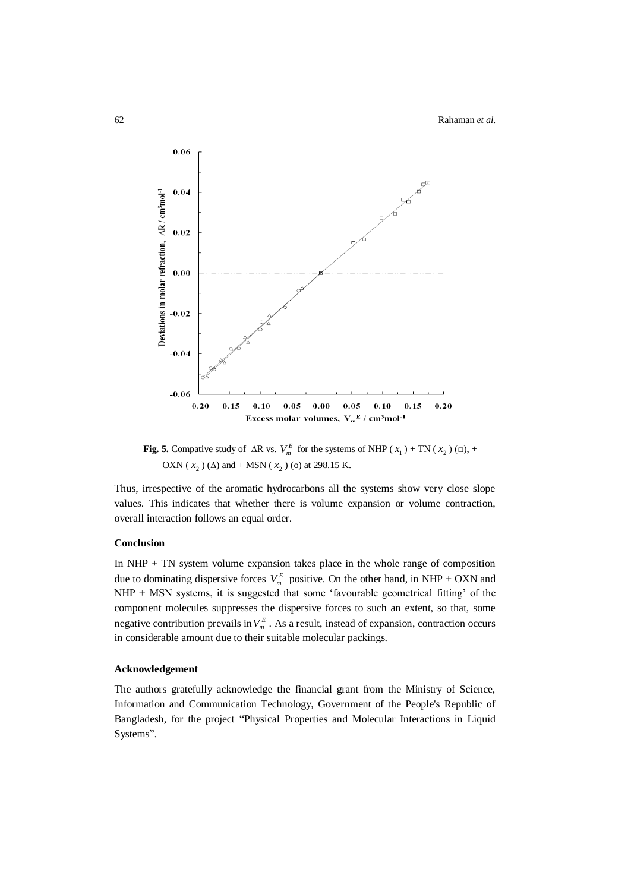

**Fig. 5.** Compative study of  $\Delta R$  vs.  $V_m^E$  for the systems of NHP ( $x_1$ ) + TN ( $x_2$ ) ( $\Box$ ), + OXN ( $x_2$ ) ( $\Delta$ ) and + MSN ( $x_2$ ) (o) at 298.15 K.

Thus, irrespective of the aromatic hydrocarbons all the systems show very close slope values. This indicates that whether there is volume expansion or volume contraction, overall interaction follows an equal order.

#### **Conclusion**

In NHP + TN system volume expansion takes place in the whole range of composition due to dominating dispersive forces  $V_m^E$  positive. On the other hand, in NHP + OXN and NHP + MSN systems, it is suggested that some 'favourable geometrical fitting' of the component molecules suppresses the dispersive forces to such an extent, so that, some negative contribution prevails in  $V_m^E$ . As a result, instead of expansion, contraction occurs in considerable amount due to their suitable molecular packings.

#### **Acknowledgement**

The authors gratefully acknowledge the financial grant from the Ministry of Science, Information and Communication Technology, Government of the People's Republic of Bangladesh, for the project "Physical Properties and Molecular Interactions in Liquid Systems".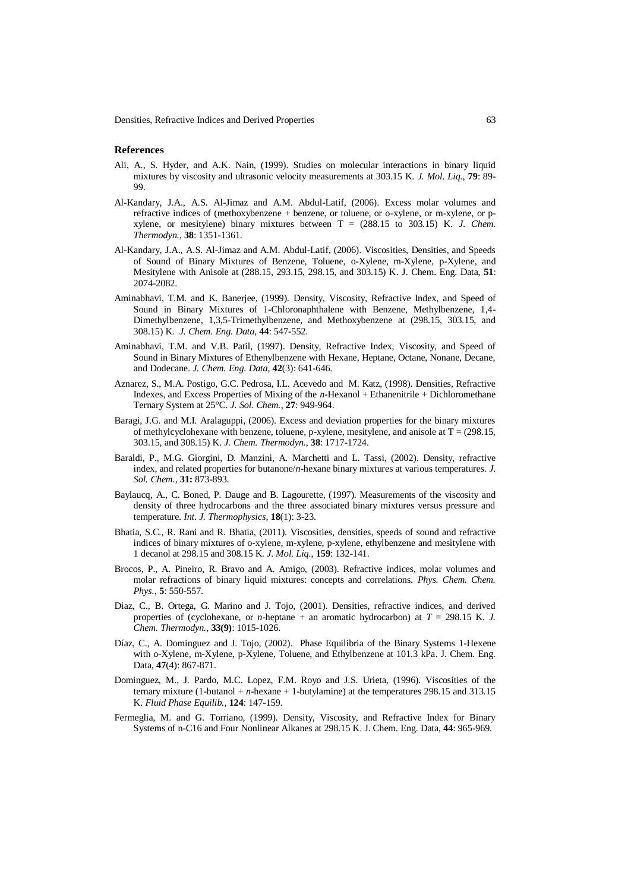Densities, Refractive Indices and Derived Properties 63

#### **References**

- Ali, A., S. Hyder, and A.K. Nain, (1999). Studies on molecular interactions in binary liquid mixtures by viscosity and ultrasonic velocity measurements at 303.15 K. *J. Mol. Liq.,* **79**: 89- 99.
- Al-Kandary, J.A., A.S. Al-Jimaz and A.M. Abdul-Latif, (2006). Excess molar volumes and refractive indices of (methoxybenzene + benzene, or toluene, or o-xylene, or m-xylene, or pxylene, or mesitylene) binary mixtures between T = (288.15 to 303.15) K. *J. Chem. Thermodyn.*, **38**: 1351-1361.
- Al-Kandary, J.A., A.S. Al-Jimaz and A.M. Abdul-Latif, (2006). [Viscosities, Densities, and Speeds](http://pubs.acs.org/doi/abs/10.1021/je060170c)  [of Sound of Binary Mixtures of Benzene, Toluene, o-Xylene, m-Xylene, p-Xylene, and](http://pubs.acs.org/doi/abs/10.1021/je060170c)  [Mesitylene with Anisole at \(288.15, 293.15, 298.15, and 303.15\) K.](http://pubs.acs.org/doi/abs/10.1021/je060170c) J. Chem. Eng. Data, **51**: 2074-2082.
- Aminabhavi, T.M. and K. Banerjee, (1999). [Density, Viscosity, Refractive Index, and Speed of](http://pubs.acs.org/doi/abs/10.1021/je980310l)  [Sound in Binary Mixtures of 1-Chloronaphthalene with Benzene, Methylbenzene, 1,4-](http://pubs.acs.org/doi/abs/10.1021/je980310l) [Dimethylbenzene, 1,3,5-Trimethylbenzene, and Methoxybenzene at \(298.15, 303.15, and](http://pubs.acs.org/doi/abs/10.1021/je980310l)  [308.15\) K.](http://pubs.acs.org/doi/abs/10.1021/je980310l) *J. Chem. Eng. Data*, **44**: 547-552.
- Aminabhavi, T.M. and V.B. Patil, (1997). Density, Refractive Index, Viscosity, and Speed of Sound in Binary Mixtures of Ethenylbenzene with Hexane, Heptane, Octane, Nonane, Decane, and Dodecane. *J. Chem. Eng. Data*, **42**(3): 641-646.
- [Aznarez,](http://link.springer.com/search?facet-author=%22S.+Aznarez%22) S., M.A. [Postigo,](http://link.springer.com/search?facet-author=%22M.+A.+Postigo%22) G.C. [Pedrosa,](http://link.springer.com/search?facet-author=%22G.+C.+Pedrosa%22) I.L. [Acevedo](http://link.springer.com/search?facet-author=%22I.+L.+Acevedo%22) and M. [Katz,](http://link.springer.com/search?facet-author=%22M.+Katz%22) (1998). [Densities, Refractive](http://link.springer.com/article/10.1023/A%3A1022667313669)  [Indexes, and Excess Properties of Mixing of the](http://link.springer.com/article/10.1023/A%3A1022667313669) *n*-Hexanol + Ethanenitrile + Dichloromethane [Ternary System at 25°C.](http://link.springer.com/article/10.1023/A%3A1022667313669) *J. Sol. Chem.*, **27**: 949-964.
- Baragi, J.G. and M.I. Aralaguppi, (2006). Excess and deviation properties for the binary mixtures of methylcyclohexane with benzene, toluene, p-xylene, mesitylene, and anisole at  $T = (298.15,$ 303.15, and 308.15) K. *J. Chem. Thermodyn.*, **38**: 1717-1724.
- Baraldi, P., M.G. Giorgini, D. Manzini, A. Marchetti and L. Tassi, (2002). Density, refractive index, and related properties for butanone/*n*-hexane binary mixtures at various temperatures. *J. Sol. Chem.*, **31:** 873-893.
- [Baylaucq,](http://link.springer.com/search?facet-author=%22A.+Baylaucq%22) A., C. [Boned,](http://link.springer.com/search?facet-author=%22C.+Boned%22) P. [Dauge](http://link.springer.com/search?facet-author=%22P.+Dauge%22) and B. [Lagourette,](http://link.springer.com/search?facet-author=%22B.+Lagourette%22) (1997). [Measurements of the viscosity and](http://link.springer.com/article/10.1007/BF02575198)  [density of three hydrocarbons and the three associated binary mixtures versus pressure and](http://link.springer.com/article/10.1007/BF02575198)  [temperature.](http://link.springer.com/article/10.1007/BF02575198) *Int. J. Thermophysics*, **18**(1): 3-23.
- Bhatia, S.C., R. Rani and R. Bhatia, (2011). Viscosities, densities, speeds of sound and refractive indices of binary mixtures of o-xylene, m-xylene, p-xylene, ethylbenzene and mesitylene with 1 decanol at 298.15 and 308.15 K. *J. Mol. Liq.*, **159**: 132-141.
- Brocos, P., A. Pineiro, R. Bravo and A. Amigo, (2003). Refractive indices, molar volumes and molar refractions of binary liquid mixtures: concepts and correlations. *Phys. Chem. Chem. Phys.*, **5**: 550-557.
- Diaz, C., B. Ortega, G. Marino and J. Tojo, (2001). Densities, refractive indices, and derived properties of (cyclohexane, or *n*-heptane + an aromatic hydrocarbon) at  $T = 298.15$  K. *J. Chem. Thermodyn.*, **33(9)**: 1015-1026.
- Díaz, C., A. Dominguez and J. Tojo, (2002). [Phase Equilibria of the Binary Systems](http://pubs.acs.org/doi/abs/10.1021/je010295b) 1-Hexene [with o-Xylene, m-Xylene, p-Xylene, Toluene, and Ethylbenzene at 101.3 kPa.](http://pubs.acs.org/doi/abs/10.1021/je010295b) J. Chem. Eng. Data, **47**(4): 867-871.
- Dominguez, M., J. Pardo, M.C. Lopez, F.M. Royo and J.S. Urieta, (1996). Viscosities of the ternary mixture (1-butanol + *n*-hexane + 1-butylamine) at the temperatures 298.15 and 313.15 K. *Fluid Phase Equilib.,* **124**: 147-159.
- Fermeglia, M. and G. Torriano, (1999). [Density, Viscosity, and Refractive Index for Binary](http://pubs.acs.org/doi/abs/10.1021/je9900171)  [Systems of n-C16 and Four Nonlinear Alkanes at 298.15 K.](http://pubs.acs.org/doi/abs/10.1021/je9900171) J. Chem. Eng. Data, **44**: 965-969.